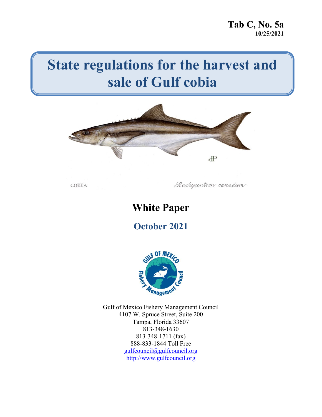# **State regulations for the harvest and sale of Gulf cobia**



COBIA

Rachycentron canadum

# **White Paper**

**October 2021**



Gulf of Mexico Fishery Management Council 4107 W. Spruce Street, Suite 200 Tampa, Florida 33607 813-348-1630 813-348-1711 (fax) 888-833-1844 Toll Free [gulfcouncil@gulfcouncil.org](mailto:gulfcouncil@gulfcouncil.org) [http://www.gulfcouncil.org](http://www.gulfcouncil.org/)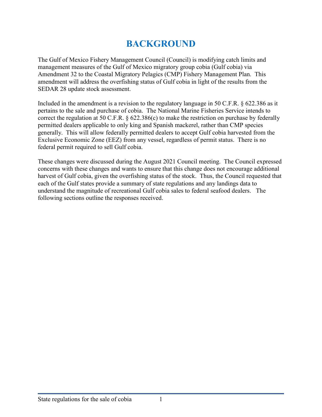# **BACKGROUND**

The Gulf of Mexico Fishery Management Council (Council) is modifying catch limits and management measures of the Gulf of Mexico migratory group cobia (Gulf cobia) via Amendment 32 to the Coastal Migratory Pelagics (CMP) Fishery Management Plan. This amendment will address the overfishing status of Gulf cobia in light of the results from the SEDAR 28 update stock assessment.

Included in the amendment is a revision to the regulatory language in 50 C.F.R. § 622.386 as it pertains to the sale and purchase of cobia. The National Marine Fisheries Service intends to correct the regulation at 50 C.F.R. § 622.386(c) to make the restriction on purchase by federally permitted dealers applicable to only king and Spanish mackerel, rather than CMP species generally. This will allow federally permitted dealers to accept Gulf cobia harvested from the Exclusive Economic Zone (EEZ) from any vessel, regardless of permit status. There is no federal permit required to sell Gulf cobia.

These changes were discussed during the August 2021 Council meeting. The Council expressed concerns with these changes and wants to ensure that this change does not encourage additional harvest of Gulf cobia, given the overfishing status of the stock. Thus, the Council requested that each of the Gulf states provide a summary of state regulations and any landings data to understand the magnitude of recreational Gulf cobia sales to federal seafood dealers. The following sections outline the responses received.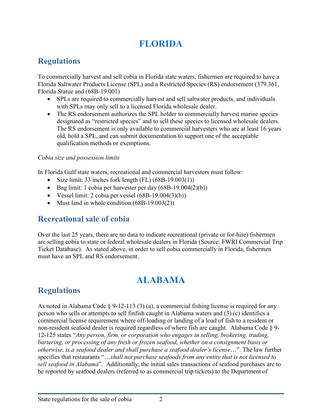# **FLORIDA**

# **Regulations**

To commercially harvest and sell cobia in Florida state waters, fishermen are required to have a Florida Saltwater Products License (SPL) and a Restricted Species (RS) endorsement (379.361, Florida Statue and (68B-19.001)

- SPLs are required to commercially harvest and sell saltwater products, and individuals with SPLs may only sell to a licensed Florida wholesale dealer.
- The RS endorsement authorizes the SPL holder to commercially harvest marine species designated as "restricted species" and to sell these species to licensed wholesale dealers. The RS endorsement is only available to commercial harvesters who are at least 16 years old, hold a SPL, and can submit documentation to support one of the acceptable qualification methods or exemptions.

#### *Cobia size and possession limits*

In Florida Gulf state waters, recreational and commercial harvesters must follow:

- Size limit: 33 inches fork length  $(FL)$   $(68B-19.003(1))$
- Bag limit: 1 cobia per harvester per day  $(68B-19.004(2)(b))$
- Vessel limit: 2 cobia per vessel  $(68B-19.004(3)(b))$
- Must land in whole condition (68B-19.003(2))

### **Recreational sale of cobia**

Over the last 25 years, there are no data to indicate recreational (private or for-hire) fishermen are selling cobia to state or federal wholesale dealers in Florida (Source: FWRI Commercial Trip Ticket Database). As stated above, in order to sell cobia commercially in Florida, fishermen must have an SPL and RS endorsement.

# **ALABAMA**

# **Regulations**

As noted in Alabama Code § 9-12-113 (3) (a), a commercial fishing license is required for any person who sells or attempts to sell finfish caught in Alabama waters and (3) (c) identifies a commercial license requirement where off-loading or landing of a load of fish to a resident or non-resident seafood dealer is required regardless of where fish are caught. Alabama Code § 9- 12-125 states "*Any person, firm, or corporation who engages in selling, brokering, trading, bartering, or processing of any fresh or frozen seafood, whether on a consignment basis or otherwise, is a seafood dealer and shall purchase a seafood dealer's license*…". The law further specifies that restaurants "…*shall not purchase seafoods from any entity that is not licensed to sell seafood in Alabama*". Additionally, the initial sales transactions of seafood purchases are to be reported by seafood dealers (referred to as commercial trip tickets) to the Department of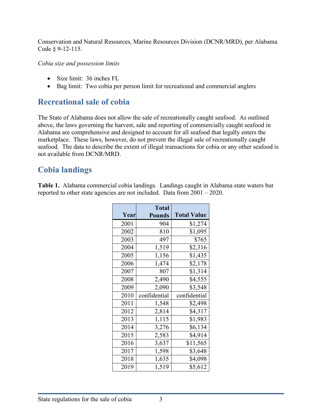Conservation and Natural Resources, Marine Resources Division (DCNR/MRD), per Alabama Code § 9-12-115.

#### *Cobia size and possession limits*

- Size limit: 36 inches FL
- Bag limit: Two cobia per person limit for recreational and commercial anglers

#### **Recreational sale of cobia**

The State of Alabama does not allow the sale of recreationally caught seafood. As outlined above, the laws governing the harvest, sale and reporting of commercially caught seafood in Alabama are comprehensive and designed to account for all seafood that legally enters the marketplace. These laws, however, do not prevent the illegal sale of recreationally caught seafood. The data to describe the extent of illegal transactions for cobia or any other seafood is not available from DCNR/MRD.

### **Cobia landings**

**Table 1.** Alabama commercial cobia landings. Landings caught in Alabama state waters but reported to other state agencies are not included. Data from 2001 – 2020.

|      | <b>Total</b>  |                    |
|------|---------------|--------------------|
| Year | <b>Pounds</b> | <b>Total Value</b> |
| 2001 | 904           | \$1,274            |
| 2002 | 810           | \$1,095            |
| 2003 | 497           | \$765              |
| 2004 | 1,519         | \$2,316            |
| 2005 | 1,156         | \$1,435            |
| 2006 | 1,474         | \$2,178            |
| 2007 | 807           | \$1,314            |
| 2008 | 2,490         | \$4,555            |
| 2009 | 2,090         | \$3,548            |
| 2010 | confidential  | confidential       |
| 2011 | 1,548         | \$2,498            |
| 2012 | 2,814         | \$4,317            |
| 2013 | 1,115         | \$1,983            |
| 2014 | 3,276         | \$6,134            |
| 2015 | 2,583         | \$4,914            |
| 2016 | 3,637         | \$11,565           |
| 2017 | 1,598         | \$3,648            |
| 2018 | 1,635         | \$4,098            |
| 2019 | 1,519         | \$5,612            |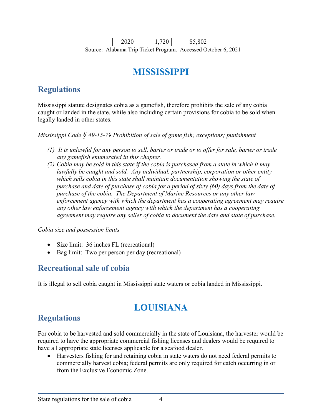2020 1,720 \$5,802 Source: Alabama Trip Ticket Program. Accessed October 6, 2021

# **MISSISSIPPI**

# **Regulations**

Mississippi statute designates cobia as a gamefish, therefore prohibits the sale of any cobia caught or landed in the state, while also including certain provisions for cobia to be sold when legally landed in other states.

*Mississippi Code § 49-15-79 Prohibition of sale of game fish; exceptions; punishment*

- *(1) It is unlawful for any person to sell, barter or trade or to offer for sale, barter or trade any gamefish enumerated in this chapter.*
- *(2) Cobia may be sold in this state if the cobia is purchased from a state in which it may lawfully be caught and sold. Any individual, partnership, corporation or other entity which sells cobia in this state shall maintain documentation showing the state of purchase and date of purchase of cobia for a period of sixty (60) days from the date of purchase of the cobia. The Department of Marine Resources or any other law enforcement agency with which the department has a cooperating agreement may require any other law enforcement agency with which the department has a cooperating agreement may require any seller of cobia to document the date and state of purchase.*

*Cobia size and possession limits*

- Size limit: 36 inches FL (recreational)
- Bag limit: Two per person per day (recreational)

### **Recreational sale of cobia**

It is illegal to sell cobia caught in Mississippi state waters or cobia landed in Mississippi.

# **LOUISIANA**

# **Regulations**

For cobia to be harvested and sold commercially in the state of Louisiana, the harvester would be required to have the appropriate commercial fishing licenses and dealers would be required to have all appropriate state licenses applicable for a seafood dealer.

• Harvesters fishing for and retaining cobia in state waters do not need federal permits to commercially harvest cobia; federal permits are only required for catch occurring in or from the Exclusive Economic Zone.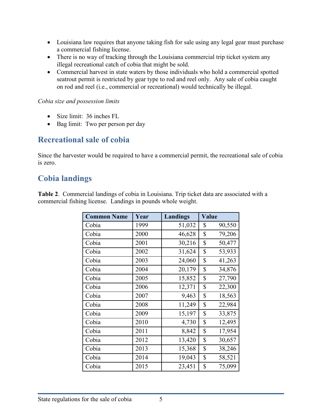- Louisiana law requires that anyone taking fish for sale using any legal gear must purchase a commercial fishing license.
- There is no way of tracking through the Louisiana commercial trip ticket system any illegal recreational catch of cobia that might be sold.
- Commercial harvest in state waters by those individuals who hold a commercial spotted seatrout permit is restricted by gear type to rod and reel only. Any sale of cobia caught on rod and reel (i.e., commercial or recreational) would technically be illegal.

#### *Cobia size and possession limits*

- Size limit: 36 inches FL
- Bag limit: Two per person per day

#### **Recreational sale of cobia**

Since the harvester would be required to have a commercial permit, the recreational sale of cobia is zero.

### **Cobia landings**

**Table 2**. Commercial landings of cobia in Louisiana. Trip ticket data are associated with a commercial fishing license. Landings in pounds whole weight.

| <b>Common Name</b> | Year | Landings | <b>Value</b> |        |
|--------------------|------|----------|--------------|--------|
| Cobia              | 1999 | 51,032   | \$           | 90,550 |
| Cobia              | 2000 | 46,628   | \$           | 79,206 |
| Cobia              | 2001 | 30,216   | \$           | 50,477 |
| Cobia              | 2002 | 31,624   | \$           | 53,933 |
| Cobia              | 2003 | 24,060   | \$           | 41,263 |
| Cobia              | 2004 | 20,179   | \$           | 34,876 |
| Cobia              | 2005 | 15,852   | \$           | 27,790 |
| Cobia              | 2006 | 12,371   | \$           | 22,300 |
| Cobia              | 2007 | 9,463    | \$           | 18,563 |
| Cobia              | 2008 | 11,249   | \$           | 22,984 |
| Cobia              | 2009 | 15,197   | \$           | 33,875 |
| Cobia              | 2010 | 4,730    | \$           | 12,495 |
| Cobia              | 2011 | 8,842    | \$           | 17,954 |
| Cobia              | 2012 | 13,420   | \$           | 30,657 |
| Cobia              | 2013 | 15,368   | \$           | 38,246 |
| Cobia              | 2014 | 19,043   | \$           | 58,521 |
| Cobia              | 2015 | 23,451   | \$           | 75,099 |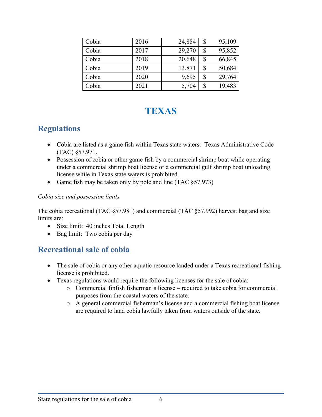| Cobia | 2016 | 24,884 | \$<br>95,109 |
|-------|------|--------|--------------|
| Cobia | 2017 | 29,270 | \$<br>95,852 |
| Cobia | 2018 | 20,648 | \$<br>66,845 |
| Cobia | 2019 | 13,871 | \$<br>50,684 |
| Cobia | 2020 | 9,695  | \$<br>29,764 |
| Cobia | 2021 | 5,704  | \$<br>19,483 |

# **TEXAS**

### **Regulations**

- Cobia are listed as a game fish within Texas state waters: Texas Administrative Code (TAC) §57.971.
- Possession of cobia or other game fish by a commercial shrimp boat while operating under a commercial shrimp boat license or a commercial gulf shrimp boat unloading license while in Texas state waters is prohibited.
- Game fish may be taken only by pole and line (TAC §57.973)

#### *Cobia size and possession limits*

The cobia recreational (TAC §57.981) and commercial (TAC §57.992) harvest bag and size limits are:

- Size limit: 40 inches Total Length
- Bag limit: Two cobia per day

### **Recreational sale of cobia**

- The sale of cobia or any other aquatic resource landed under a Texas recreational fishing license is prohibited.
- Texas regulations would require the following licenses for the sale of cobia:
	- o Commercial finfish fisherman's license required to take cobia for commercial purposes from the coastal waters of the state.
	- o A general commercial fisherman's license and a commercial fishing boat license are required to land cobia lawfully taken from waters outside of the state.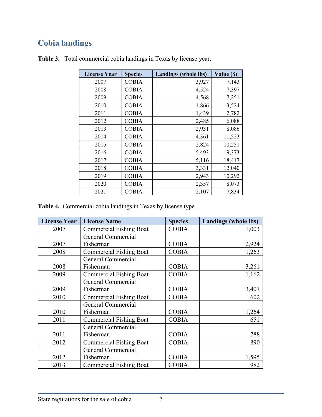# **Cobia landings**

| <b>License Year</b> | <b>Species</b> | <b>Landings (whole lbs)</b> | Value (\$) |
|---------------------|----------------|-----------------------------|------------|
| 2007                | COBIA          | 3,927                       | 7,143      |
| 2008                | <b>COBIA</b>   | 4,524                       | 7,397      |
| 2009                | <b>COBIA</b>   | 4,568                       | 7,251      |
| 2010                | <b>COBIA</b>   | 1,866                       | 3,524      |
| 2011                | <b>COBIA</b>   | 1,439                       | 2,782      |
| 2012                | <b>COBIA</b>   | 2,485                       | 6,088      |
| 2013                | <b>COBIA</b>   | 2,931                       | 8,086      |
| 2014                | <b>COBIA</b>   | 4,361                       | 11,523     |
| 2015                | <b>COBIA</b>   | 2,824                       | 10,251     |
| 2016                | <b>COBIA</b>   | 5,493                       | 19,373     |
| 2017                | <b>COBIA</b>   | 5,116                       | 18,417     |
| 2018                | <b>COBIA</b>   | 3,331                       | 12,040     |
| 2019                | <b>COBIA</b>   | 2,943                       | 10,292     |
| 2020                | <b>COBIA</b>   | 2,357                       | 8,073      |
| 2021                | <b>COBIA</b>   | 2,107                       | 7,834      |

**Table 3.** Total commercial cobia landings in Texas by license year.

**Table 4.** Commercial cobia landings in Texas by license type.

| <b>License Year</b> | <b>License Name</b>            | <b>Species</b> | <b>Landings (whole lbs)</b> |
|---------------------|--------------------------------|----------------|-----------------------------|
| 2007                | <b>Commercial Fishing Boat</b> | <b>COBIA</b>   | 1,003                       |
|                     | <b>General Commercial</b>      |                |                             |
| 2007                | Fisherman                      | <b>COBIA</b>   | 2,924                       |
| 2008                | <b>Commercial Fishing Boat</b> | <b>COBIA</b>   | 1,263                       |
|                     | General Commercial             |                |                             |
| 2008                | Fisherman                      | <b>COBIA</b>   | 3,261                       |
| 2009                | <b>Commercial Fishing Boat</b> | <b>COBIA</b>   | 1,162                       |
|                     | General Commercial             |                |                             |
| 2009                | Fisherman                      | <b>COBIA</b>   | 3,407                       |
| 2010                | <b>Commercial Fishing Boat</b> | <b>COBIA</b>   | 602                         |
|                     | General Commercial             |                |                             |
| 2010                | Fisherman                      | <b>COBIA</b>   | 1,264                       |
| 2011                | <b>Commercial Fishing Boat</b> | <b>COBIA</b>   | 651                         |
|                     | General Commercial             |                |                             |
| 2011                | Fisherman                      | <b>COBIA</b>   | 788                         |
| 2012                | <b>Commercial Fishing Boat</b> | <b>COBIA</b>   | 890                         |
|                     | General Commercial             |                |                             |
| 2012                | Fisherman                      | <b>COBIA</b>   | 1,595                       |
| 2013                | <b>Commercial Fishing Boat</b> | <b>COBIA</b>   | 982                         |